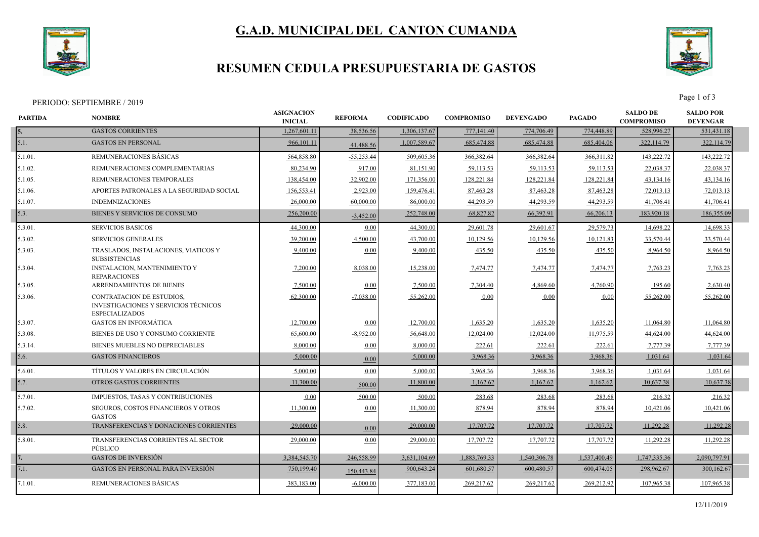

# **G.A.D. MUNICIPAL DEL CANTON CUMANDA**

#### **RESUMEN CEDULA PRESUPUESTARIA DE GASTOS**



PERIODO: SEPTIEMBRE / 2019 Page 1 of 3

| PARTIDA    | <b>NOMBRE</b>                                                                                     | <b>ASIGNACION</b><br><b>INICIAL</b> | <b>REFORMA</b> | <b>CODIFICADO</b> | <b>COMPROMISO</b> | <b>DEVENGADO</b> | <b>PAGADO</b> | <b>SALDO DE</b><br><b>COMPROMISO</b> | <b>SALDO POR</b><br><b>DEVENGAR</b> |  |
|------------|---------------------------------------------------------------------------------------------------|-------------------------------------|----------------|-------------------|-------------------|------------------|---------------|--------------------------------------|-------------------------------------|--|
| 5.         | <b>GASTOS CORRIENTES</b>                                                                          | 1,267,601.11                        | 38,536.56      | 1,306,137.67      | 777,141.40        | 774,706.49       | 774,448.89    | 528,996.27                           | 531,431.18                          |  |
| 5.1.       | <b>GASTOS EN PERSONAL</b>                                                                         | 966,101.11                          | 41,488.56      | 1,007,589.67      | 685,474.88        | 685,474.88       | 685,404.06    | 322,114.79                           | 322,114.79                          |  |
| 5.1.01.    | REMUNERACIONES BÁSICAS                                                                            | 564,858.80                          | $-55,253.44$   | 509,605.36        | 366,382.64        | 366,382.64       | 366,311.82    | 143,222.72                           | 143,222.72                          |  |
| 5.1.02.    | REMUNERACIONES COMPLEMENTARIAS                                                                    | 80,234.90                           | 917.00         | 81,151.90         | 59,113.53         | 59,113.53        | 59,113.53     | 22,038.37                            | 22,038.37                           |  |
| $5.1.05$ . | REMUNERACIONES TEMPORALES                                                                         | 138,454.00                          | 32,902.00      | 171,356.00        | 128,221.84        | 128,221.84       | 128,221.84    | 43,134.16                            | 43,134.16                           |  |
| 5.1.06.    | APORTES PATRONALES A LA SEGURIDAD SOCIAL                                                          | 156,553.41                          | 2,923.00       | 159,476.41        | 87,463.28         | 87,463.28        | 87,463.28     | 72,013.13                            | 72,013.13                           |  |
| 5.1.07.    | <b>INDEMNIZACIONES</b>                                                                            | 26,000.00                           | 60,000.00      | 86,000.00         | 44,293.59         | 44,293.59        | 44,293.59     | 41,706.41                            | 41,706.41                           |  |
| 5.3.       | BIENES Y SERVICIOS DE CONSUMO                                                                     | 256,200.00                          | $-3,452.00$    | 252,748.00        | 68,827.82         | 66,392.91        | 66,206.13     | 183,920.18                           | 186,355.09                          |  |
| 5.3.01.    | <b>SERVICIOS BASICOS</b>                                                                          | 44,300.00                           | 0.00           | 44,300.00         | 29,601.78         | 29,601.67        | 29,579.73     | 14,698.22                            | 14,698.33                           |  |
| 5.3.02.    | <b>SERVICIOS GENERALES</b>                                                                        | 39,200.00                           | 4,500.00       | 43,700.00         | 10,129.56         | 10,129.56        | 10,121.83     | 33,570.44                            | 33,570.44                           |  |
| 5.3.03.    | TRASLADOS, INSTALACIONES, VIATICOS Y<br><b>SUBSISTENCIAS</b>                                      | 9,400.00                            | 0.00           | 9,400.00          | 435.50            | 435.50           | 435.50        | 8,964.50                             | 8,964.50                            |  |
| 5.3.04.    | <b>INSTALACION, MANTENIMIENTO Y</b><br><b>REPARACIONES</b>                                        | 7,200.00                            | 8,038.00       | 15,238.00         | 7,474.77          | 7,474.77         | 7,474.77      | 7,763.23                             | 7,763.23                            |  |
| 5.3.05.    | <b>ARRENDAMIENTOS DE BIENES</b>                                                                   | 7,500.00                            | 0.00           | 7.500.00          | 7,304.40          | 4.869.60         | 4,760.90      | 195.60                               | 2,630.40                            |  |
| 5.3.06.    | <b>CONTRATACION DE ESTUDIOS.</b><br>INVESTIGACIONES Y SERVICIOS TÉCNICOS<br><b>ESPECIALIZADOS</b> | 62,300.00                           | $-7,038.00$    | 55,262.00         | 0.00              | 0.00             | 0.00          | 55,262.00                            | 55,262.00                           |  |
| 5.3.07.    | <b>GASTOS EN INFORMÁTICA</b>                                                                      | 12,700.00                           | 0.00           | 12,700.00         | 1,635.20          | 1,635.20         | 1,635.20      | 11,064.80                            | 11,064.80                           |  |
| 5.3.08.    | BIENES DE USO Y CONSUMO CORRIENTE                                                                 | 65,600.00                           | $-8,952.00$    | 56,648.00         | 12,024.00         | 12,024.00        | 11,975.59     | 44,624.00                            | 44,624.00                           |  |
| 5.3.14.    | <b>BIENES MUEBLES NO DEPRECIABLES</b>                                                             | 8,000.00                            | 0.00           | 8,000.00          | 222.61            | 222.61           | 222.61        | 7,777.39                             | 7,777.39                            |  |
| 5.6.       | <b>GASTOS FINANCIEROS</b>                                                                         | 5,000.00                            | 0.00           | 5,000.00          | 3,968.36          | 3,968.36         | 3,968.36      | 1,031.64                             | 1,031.64                            |  |
| 5.6.01     | TÍTULOS Y VALORES EN CIRCULACIÓN                                                                  | 5,000.00                            | 0.00           | 5,000.00          | 3,968.36          | 3,968.36         | 3,968.3       | 1,031.64                             | 1,031.64                            |  |
| 5.7.       | <b>OTROS GASTOS CORRIENTES</b>                                                                    | 11,300.00                           | 500.00         | 11,800.00         | 1,162.62          | 1,162.62         | 1,162.62      | 10,637.38                            | 10,637.38                           |  |
| 5.7.01.    | IMPUESTOS, TASAS Y CONTRIBUCIONES                                                                 | 0.00                                | 500.00         | 500.00            | 283.68            | 283.68           | 283.68        | 216.32                               | 216.32                              |  |
| 5.7.02.    | <b>SEGUROS, COSTOS FINANCIEROS Y OTROS</b><br><b>GASTOS</b>                                       | 11,300.00                           | 0.00           | 11,300.00         | 878.94            | 878.94           | 878.94        | 10,421.06                            | 10,421.06                           |  |
| 5.8.       | TRANSFERENCIAS Y DONACIONES CORRIENTES                                                            | 29,000.00                           | 0.00           | 29,000.00         | 17,707.72         | 17,707.72        | 17,707.72     | 11,292.28                            | 11,292.28                           |  |
| 5.8.01.    | TRANSFERENCIAS CORRIENTES AL SECTOR<br>PÚBLICO                                                    | 29,000.00                           | 0.00           | 29,000.00         | 17,707.72         | 17,707.72        | 17,707.72     | 11,292.28                            | 11,292.28                           |  |
|            | <b>GASTOS DE INVERSIÓN</b>                                                                        | 3.384,545.70                        | 246,558.99     | 3,631,104.69      | 1,883,769.33      | 1,540,306.78     | 1,537,400.49  | 1,747,335.36                         | 2,090,797.91                        |  |
| 7.1.       | <b>GASTOS EN PERSONAL PARA INVERSIÓN</b>                                                          | 750,199.40                          | 150,443.84     | 900,643.24        | 601,680.57        | 600,480.57       | 600,474.05    | 298,962.67                           | 300,162.67                          |  |
| 7.1.01.    | REMUNERACIONES BASICAS                                                                            | 383,183.00                          | $-6,000.00$    | 377,183.00        | 269,217.62        | 269,217.62       | 269,212.92    | 107,965.38                           | 107,965.38                          |  |
|            |                                                                                                   |                                     |                |                   |                   |                  |               |                                      |                                     |  |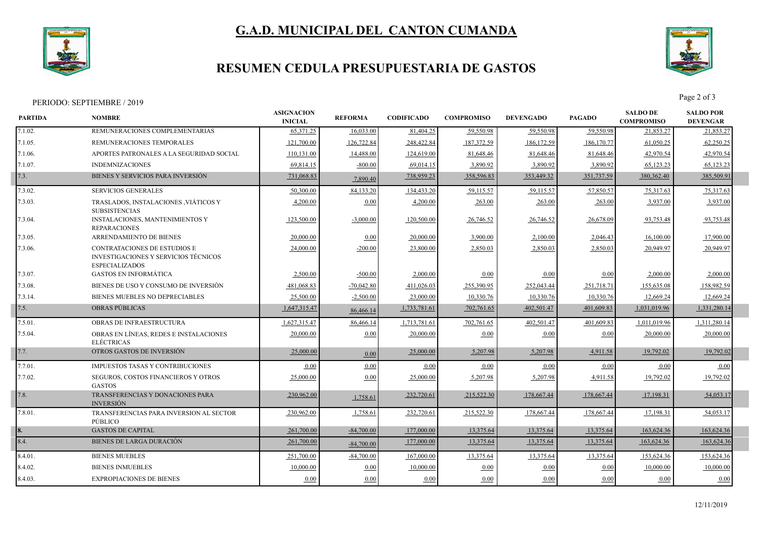



## **RESUMEN CEDULA PRESUPUESTARIA DE GASTOS**



PERIODO: SEPTIEMBRE / 2019 Page 2 of 3

| <b>PARTIDA</b> | <b>NOMBRE</b>                                                                                               | <b>ASIGNACION</b><br><b>INICIAL</b> | <b>REFORMA</b> | <b>CODIFICADO</b> | <b>COMPROMISO</b> | <b>DEVENGADO</b> | <b>PAGADO</b> | <b>SALDO DE</b><br><b>COMPROMISO</b> | <b>SALDO POR</b><br><b>DEVENGAR</b> |  |
|----------------|-------------------------------------------------------------------------------------------------------------|-------------------------------------|----------------|-------------------|-------------------|------------------|---------------|--------------------------------------|-------------------------------------|--|
| 7.1.02.        | REMUNERACIONES COMPLEMENTARIAS                                                                              | 65.371.25                           | 16,033.00      | 81,404.25         | 59,550.98         | 59,550.98        | 59,550.98     | 21,853.27                            | 21,853.27                           |  |
| 7.1.05.        | REMUNERACIONES TEMPORALES                                                                                   | 121,700.00                          | 126,722.84     | 248,422.84        | 187,372.59        | 186,172.59       | 186,170.77    | 61,050.25                            | 62,250.25                           |  |
| 7.1.06.        | APORTES PATRONALES A LA SEGURIDAD SOCIAL                                                                    | 110,131.00                          | 14,488.00      | 124,619.00        | 81,648.46         | 81,648.46        | 81,648.46     | 42,970.54                            | 42,970.54                           |  |
| 7.1.07.        | <b>INDEMNIZACIONES</b>                                                                                      | 69,814.15                           | $-800.00$      | 69,014.15         | 3,890.92          | 3,890.92         | 3,890.92      | 65,123.23                            | 65,123.23                           |  |
| 7.3.           | BIENES Y SERVICIOS PARA INVERSIÓN                                                                           | 731,068.83                          | 7,890.40       | 738,959.23        | 358,596.83        | 353,449.32       | 351,737.59    | 380, 362. 40                         | 385,509.91                          |  |
| 7.3.02.        | <b>SERVICIOS GENERALES</b>                                                                                  | 50,300.00                           | 84,133.20      | 134,433.20        | 59,115.57         | 59,115.57        | 57,850.57     | 75,317.63                            | 75,317.63                           |  |
| 7.3.03.        | TRASLADOS, INSTALACIONES , VIÁTICOS Y<br><b>SUBSISTENCIAS</b>                                               | 4,200.00                            | 0.00           | 4,200.00          | 263.00            | 263.00           | 263.00        | 3,937.00                             | 3,937.00                            |  |
| 7.3.04.        | INSTALACIONES, MANTENIMIENTOS Y<br><b>REPARACIONES</b>                                                      | 123,500.00                          | $-3,000.00$    | 120,500.00        | 26,746.52         | 26,746.52        | 26,678.09     | 93,753.48                            | 93,753.48                           |  |
| 7.3.05.        | ARRENDAMIENTO DE BIENES                                                                                     | 20,000.00                           | 0.00           | 20,000.00         | 3,900.00          | 2,100.00         | 2,046.43      | 16,100.00                            | 17,900.00                           |  |
| $7.3.06$ .     | <b>CONTRATACIONES DE ESTUDIOS E</b><br><b>INVESTIGACIONES Y SERVICIOS TÉCNICOS</b><br><b>ESPECIALIZADOS</b> | 24,000.00                           | $-200.00$      | 23,800.00         | 2,850.03          | 2,850.03         | 2,850.03      | 20.949.97                            | 20,949.97                           |  |
| 7.3.07.        | <b>GASTOS EN INFORMÁTICA</b>                                                                                | 2,500.00                            | $-500.00$      | 2,000.00          | 0.00              | 0.00             | 0.00          | 2,000.00                             | 2,000.00                            |  |
| 7.3.08.        | BIENES DE USO Y CONSUMO DE INVERSIÓN                                                                        | 481,068.83                          | $-70,042.80$   | 411,026.03        | 255,390.95        | 252,043.44       | 251,718.71    | 155,635.08                           | 158,982.59                          |  |
| 7.3.14.        | BIENES MUEBLES NO DEPRECIABLES                                                                              | 25,500.00                           | $-2,500.00$    | 23,000.00         | 10,330.76         | 10,330.76        | 10,330.76     | 12,669.24                            | 12,669.24                           |  |
| 7.5.           | <b>OBRAS PUBLICAS</b>                                                                                       | 1,647,315.47                        | 86,466.14      | 1,733,781.61      | 702,761.65        | 402,501.47       | 401,609.83    | 1,031,019.96                         | 1,331,280.14                        |  |
| 7.5.01.        | OBRAS DE INFRAESTRUCTURA                                                                                    | 1,627,315.47                        | 86,466.14      | 1,713,781.61      | 702,761.65        | 402,501.47       | 401,609.83    | 1,011,019.96                         | 1,311,280.14                        |  |
| 7.5.04.        | OBRAS EN LÍNEAS, REDES E INSTALACIONES<br><b>ELÉCTRICAS</b>                                                 | 20,000.00                           | 0.00           | 20,000.00         | 0.00              | 0.00             | 0.00          | 20,000.00                            | 20,000.00                           |  |
| 7.7.           | OTROS GASTOS DE INVERSIÓN                                                                                   | 25,000.00                           | 0.00           | 25,000.00         | 5,207.98          | 5,207.98         | 4,911.58      | 19,792.02                            | 19,792.02                           |  |
| 7.7.01.        | <b>IMPUESTOS TASAS Y CONTRIBUCIONES</b>                                                                     | 0.00                                | 0.00           | 0.00              | 0.00              | 0.00             | 0.00          | 0.00                                 | 0.00                                |  |
| 7.7.02.        | <b>SEGUROS, COSTOS FINANCIEROS Y OTROS</b><br><b>GASTOS</b>                                                 | 25,000.00                           | 0.00           | 25,000.00         | 5,207.98          | 5,207.98         | 4,911.58      | 19,792.02                            | 19,792.02                           |  |
| 7.8.           | TRANSFERENCIAS Y DONACIONES PARA<br><b>INVERSIÓN</b>                                                        | 230,962.00                          | 1,758.61       | 232,720.61        | 215,522.30        | 178,667.44       | 178,667.44    | 17,198.31                            | 54,053.1                            |  |
| 7.8.01.        | TRANSFERENCIAS PARA INVERSION AL SECTOR<br>PÚBLICO                                                          | 230.962.00                          | 1,758.61       | 232,720.61        | 215,522.30        | 178,667.44       | 178,667.44    | 17,198.31                            | 54,053.17                           |  |
| 18.            | <b>GASTOS DE CAPITAL</b>                                                                                    | 261,700.00                          | $-84,700.00$   | 177,000.00        | 13,375.64         | 13,375.64        | 13,375.64     | 163,624.36                           | 163,624.36                          |  |
| 8.4.           | BIENES DE LARGA DURACIÓN                                                                                    | 261,700.00                          | $-84,700.00$   | 177,000.00        | 13,375.64         | 13,375.64        | 13,375.64     | 163,624.36                           | 163,624.36                          |  |
| 8.4.01.        | <b>BIENES MUEBLES</b>                                                                                       | 251,700.00                          | $-84.700.00$   | 167,000.00        | 13.375.64         | 13.375.64        | 13,375.64     | 153.624.36                           | 153,624.36                          |  |
| 8.4.02.        | <b>BIENES INMUEBLES</b>                                                                                     | 10,000.00                           | 0.00           | 10,000.00         | 0.00              | 0.00             | 0.00          | 10,000.00                            | 10,000.00                           |  |
| $8.4.03$ .     | <b>EXPROPIACIONES DE BIENES</b>                                                                             | 0.00                                | 0.00           | 0.00              | 0.00              | 0.00             | 0.00          | 0.00                                 | 0.00                                |  |
|                |                                                                                                             |                                     |                |                   |                   |                  |               |                                      |                                     |  |